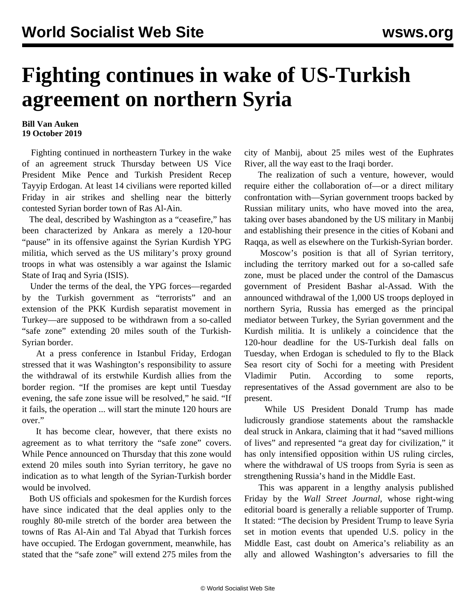## **Fighting continues in wake of US-Turkish agreement on northern Syria**

## **Bill Van Auken 19 October 2019**

 Fighting continued in northeastern Turkey in the wake of an agreement struck Thursday between US Vice President Mike Pence and Turkish President Recep Tayyip Erdogan. At least 14 civilians were reported killed Friday in air strikes and shelling near the bitterly contested Syrian border town of Ras Al-Ain.

 The deal, described by Washington as a "ceasefire," has been characterized by Ankara as merely a 120-hour "pause" in its offensive against the Syrian Kurdish YPG militia, which served as the US military's proxy ground troops in what was ostensibly a war against the Islamic State of Iraq and Syria (ISIS).

 Under the terms of the deal, the YPG forces—regarded by the Turkish government as "terrorists" and an extension of the PKK Kurdish separatist movement in Turkey—are supposed to be withdrawn from a so-called "safe zone" extending 20 miles south of the Turkish-Syrian border.

 At a press conference in Istanbul Friday, Erdogan stressed that it was Washington's responsibility to assure the withdrawal of its erstwhile Kurdish allies from the border region. "If the promises are kept until Tuesday evening, the safe zone issue will be resolved," he said. "If it fails, the operation ... will start the minute 120 hours are over."

 It has become clear, however, that there exists no agreement as to what territory the "safe zone" covers. While Pence announced on Thursday that this zone would extend 20 miles south into Syrian territory, he gave no indication as to what length of the Syrian-Turkish border would be involved.

 Both US officials and spokesmen for the Kurdish forces have since indicated that the deal applies only to the roughly 80-mile stretch of the border area between the towns of Ras Al-Ain and Tal Abyad that Turkish forces have occupied. The Erdogan government, meanwhile, has stated that the "safe zone" will extend 275 miles from the

city of Manbij, about 25 miles west of the Euphrates River, all the way east to the Iraqi border.

 The realization of such a venture, however, would require either the collaboration of—or a direct military confrontation with—Syrian government troops backed by Russian military units, who have moved into the area, taking over bases abandoned by the US military in Manbij and establishing their presence in the cities of Kobani and Raqqa, as well as elsewhere on the Turkish-Syrian border.

 Moscow's position is that all of Syrian territory, including the territory marked out for a so-called safe zone, must be placed under the control of the Damascus government of President Bashar al-Assad. With the announced withdrawal of the 1,000 US troops deployed in northern Syria, Russia has emerged as the principal mediator between Turkey, the Syrian government and the Kurdish militia. It is unlikely a coincidence that the 120-hour deadline for the US-Turkish deal falls on Tuesday, when Erdogan is scheduled to fly to the Black Sea resort city of Sochi for a meeting with President Vladimir Putin. According to some reports, representatives of the Assad government are also to be present.

 While US President Donald Trump has made ludicrously grandiose statements about the ramshackle deal struck in Ankara, claiming that it had "saved millions of lives" and represented "a great day for civilization," it has only intensified opposition within US ruling circles, where the withdrawal of US troops from Syria is seen as strengthening Russia's hand in the Middle East.

 This was apparent in a lengthy analysis published Friday by the *Wall Street Journal*, whose right-wing editorial board is generally a reliable supporter of Trump. It stated: "The decision by President Trump to leave Syria set in motion events that upended U.S. policy in the Middle East, cast doubt on America's reliability as an ally and allowed Washington's adversaries to fill the